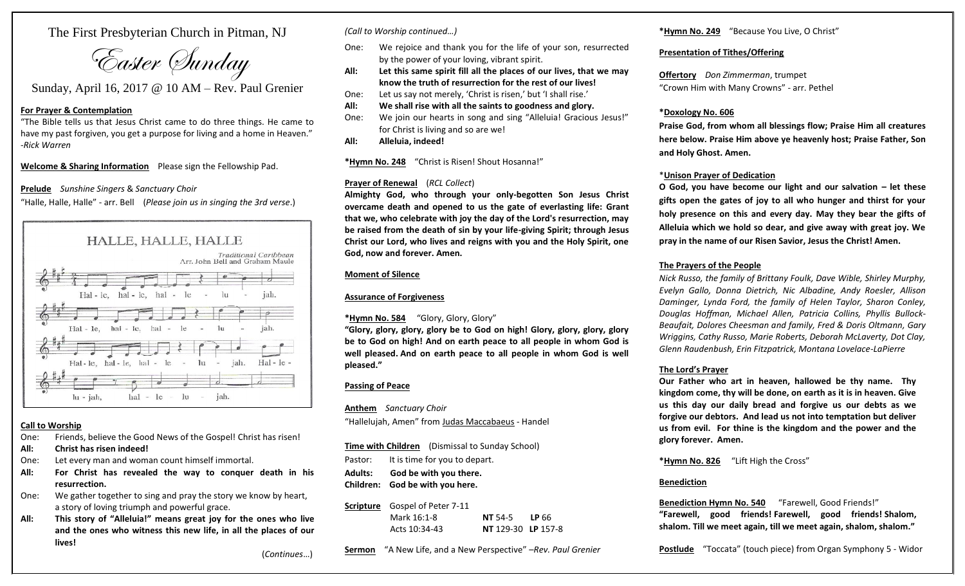The First Presbyterian Church in Pitman, NJ

Easter Sunday

Sunday, April 16, 2017 @ 10 AM – Rev. Paul Grenier

#### **For Prayer & Contemplation**

"The Bible tells us that Jesus Christ came to do three things. He came to have my past forgiven, you get a purpose for living and a home in Heaven." -*Rick Warren*

**Welcome & Sharing Information** Please sign the Fellowship Pad.

#### **Prelude** *Sunshine Singers* & *Sanctuary Choir*

"Halle, Halle, Halle" - arr. Bell (*Please join us in singing the 3rd verse*.)



## **Call to Worship**

One: Friends, believe the Good News of the Gospel! Christ has risen!

- **All: Christ has risen indeed!**
- One: Let every man and woman count himself immortal.
- **All: For Christ has revealed the way to conquer death in his resurrection.**
- One: We gather together to sing and pray the story we know by heart, a story of loving triumph and powerful grace.
- **All: This story of "Alleluia!" means great joy for the ones who live and the ones who witness this new life, in all the places of our lives!**

(*Continues*…)

*(Call to Worship continued…)*

- One: We rejoice and thank you for the life of your son, resurrected by the power of your loving, vibrant spirit.
- **All: Let this same spirit fill all the places of our lives, that we may know the truth of resurrection for the rest of our lives!**
- One: Let us say not merely, 'Christ is risen,' but 'I shall rise.'
- **All: We shall rise with all the saints to goodness and glory.**
- One: We join our hearts in song and sing "Alleluia! Gracious Jesus!" for Christ is living and so are we!
- **All: Alleluia, indeed!**

**\*Hymn No. 248** "Christ is Risen! Shout Hosanna!"

## **Prayer of Renewal** (*RCL Collect*)

**Almighty God, who through your only-begotten Son Jesus Christ overcame death and opened to us the gate of everlasting life: Grant that we, who celebrate with joy the day of the Lord's resurrection, may be raised from the death of sin by your life-giving Spirit; through Jesus Christ our Lord, who lives and reigns with you and the Holy Spirit, one God, now and forever. Amen.**

## **Moment of Silence**

# **Assurance of Forgiveness**

**\*Hymn No. 584** "Glory, Glory, Glory"

**"Glory, glory, glory, glory be to God on high! Glory, glory, glory, glory be to God on high! And on earth peace to all people in whom God is well pleased. And on earth peace to all people in whom God is well pleased."**

## **Passing of Peace**

**Anthem** *Sanctuary Choir* "Hallelujah, Amen" from Judas Maccabaeus - Handel

**Time with Children** (Dismissal to Sunday School) Pastor: It is time for you to depart. **Adults: God be with you there.**

**Children: God be with you here.**

#### **Scripture** Gospel of Peter 7-11 Mark 16:1-8 **NT** 54-5 **LP** 66 Acts 10:34-43 **NT** 129-30 **LP** 157-8

**Sermon** "A New Life, and a New Perspective" –*Rev. Paul Grenier*

## **\*Hymn No. 249** "Because You Live, O Christ"

## **Presentation of Tithes/Offering**

**Offertory** *Don Zimmerman*, trumpet "Crown Him with Many Crowns" - arr. Pethel

# **\*Doxology No. 606**

**Praise God, from whom all blessings flow; Praise Him all creatures here below. Praise Him above ye heavenly host; Praise Father, Son and Holy Ghost. Amen.**

#### \***Unison Prayer of Dedication**

**O God, you have become our light and our salvation – let these gifts open the gates of joy to all who hunger and thirst for your holy presence on this and every day. May they bear the gifts of Alleluia which we hold so dear, and give away with great joy. We pray in the name of our Risen Savior, Jesus the Christ! Amen.**

# **The Prayers of the People**

*Nick Russo, the family of Brittany Foulk, Dave Wible, Shirley Murphy, Evelyn Gallo, Donna Dietrich, Nic Albadine, Andy Roesler, Allison Daminger, Lynda Ford, the family of Helen Taylor, Sharon Conley, Douglas Hoffman, Michael Allen, Patricia Collins, Phyllis Bullock-Beaufait, Dolores Cheesman and family, Fred & Doris Oltmann, Gary Wriggins, Cathy Russo, Marie Roberts, Deborah McLaverty, Dot Clay, Glenn Raudenbush, Erin Fitzpatrick, Montana Lovelace-LaPierre*

## **The Lord's Prayer**

**Our Father who art in heaven, hallowed be thy name. Thy kingdom come, thy will be done, on earth as it is in heaven. Give us this day our daily bread and forgive us our debts as we forgive our debtors. And lead us not into temptation but deliver us from evil. For thine is the kingdom and the power and the glory forever. Amen.** 

**\*Hymn No. 826** "Lift High the Cross"

## **Benediction**

**Benediction Hymn No. 540** "Farewell, Good Friends!" **"Farewell, good friends! Farewell, good friends! Shalom, shalom. Till we meet again, till we meet again, shalom, shalom."**

**Postlude** "Toccata" (touch piece) from Organ Symphony 5 - Widor